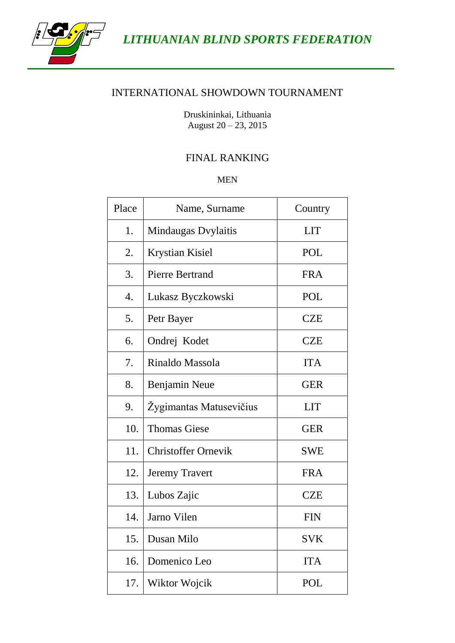

*LITHUANIAN BLIND SPORTS FEDERATION*

## INTERNATIONAL SHOWDOWN TOURNAMENT

Druskininkai, Lithuania August 20 – 23, 2015

## FINAL RANKING

MEN

| Place | Name, Surname<br>Country   |            |  |
|-------|----------------------------|------------|--|
| 1.    | Mindaugas Dvylaitis        | <b>LIT</b> |  |
| 2.    | <b>Krystian Kisiel</b>     | <b>POL</b> |  |
| 3.    | <b>Pierre Bertrand</b>     | <b>FRA</b> |  |
| 4.    | Lukasz Byczkowski          | <b>POL</b> |  |
| 5.    | Petr Bayer                 | <b>CZE</b> |  |
| 6.    | Ondrej Kodet               | <b>CZE</b> |  |
| 7.    | Rinaldo Massola            | <b>ITA</b> |  |
| 8.    | <b>Benjamin Neue</b>       | <b>GER</b> |  |
| 9.    | Žygimantas Matusevičius    | <b>LIT</b> |  |
| 10.   | <b>Thomas Giese</b>        | <b>GER</b> |  |
| 11.   | <b>Christoffer Ornevik</b> | <b>SWE</b> |  |
| 12.   | <b>Jeremy Travert</b>      | <b>FRA</b> |  |
| 13.   | Lubos Zajic                | <b>CZE</b> |  |
| 14.   | Jarno Vilen                | <b>FIN</b> |  |
| 15.   | Dusan Milo                 | <b>SVK</b> |  |
| 16.   | Domenico Leo               | <b>ITA</b> |  |
| 17.   | Wiktor Wojcik              | <b>POL</b> |  |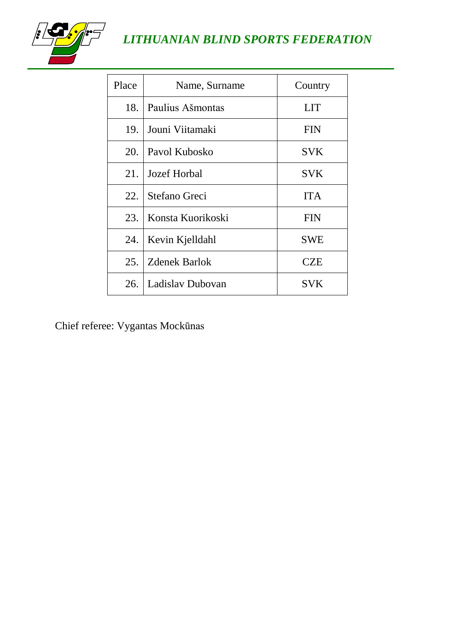

# *LITHUANIAN BLIND SPORTS FEDERATION*

| Place                   | Name, Surname        | Country    |  |
|-------------------------|----------------------|------------|--|
| 18.                     | Paulius Ašmontas     | <b>LIT</b> |  |
| 19.                     | Jouni Viitamaki      | <b>FIN</b> |  |
| 20.                     | Pavol Kubosko        | <b>SVK</b> |  |
| 21.                     | Jozef Horbal         | <b>SVK</b> |  |
| 22.                     | Stefano Greci        | <b>ITA</b> |  |
| 23.                     | Konsta Kuorikoski    | <b>FIN</b> |  |
| 24.                     | Kevin Kjelldahl      | <b>SWE</b> |  |
| 25.                     | <b>Zdenek Barlok</b> | <b>CZE</b> |  |
| Ladislay Dubovan<br>26. |                      | <b>SVK</b> |  |

Chief referee: Vygantas Mockūnas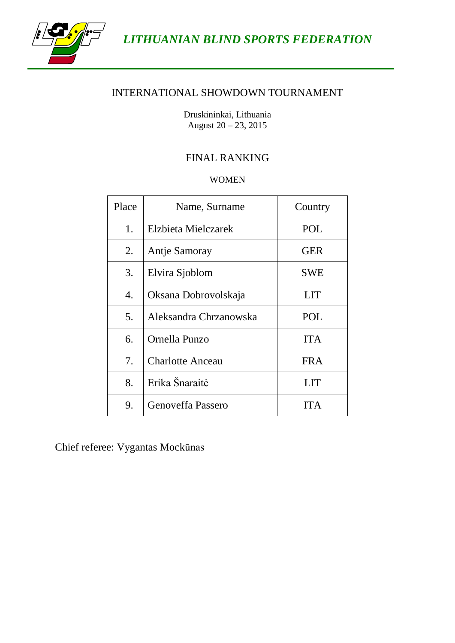

*LITHUANIAN BLIND SPORTS FEDERATION*

#### INTERNATIONAL SHOWDOWN TOURNAMENT

Druskininkai, Lithuania August 20 – 23, 2015

## FINAL RANKING

#### WOMEN

| Place | Name, Surname           | Country    |  |
|-------|-------------------------|------------|--|
| 1.    | Elzbieta Mielczarek     | POL        |  |
| 2.    | Antje Samoray           | <b>GER</b> |  |
| 3.    | Elvira Sjoblom          | SWE        |  |
| 4.    | Oksana Dobrovolskaja    | LIT        |  |
| 5.    | Aleksandra Chrzanowska  | <b>POL</b> |  |
| 6.    | Ornella Punzo           | <b>ITA</b> |  |
| 7.    | <b>Charlotte Anceau</b> | <b>FRA</b> |  |
| 8.    | Erika Šnaraitė          | LIT        |  |
| 9.    | Genoveffa Passero       | <b>ITA</b> |  |

Chief referee: Vygantas Mockūnas